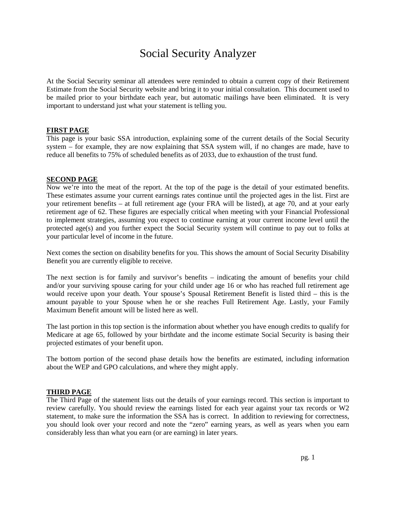## Social Security Analyzer

At the Social Security seminar all attendees were reminded to obtain a current copy of their Retirement Estimate from the Social Security website and bring it to your initial consultation. This document used to be mailed prior to your birthdate each year, but automatic mailings have been eliminated. It is very important to understand just what your statement is telling you.

#### **FIRST PAGE**

This page is your basic SSA introduction, explaining some of the current details of the Social Security system – for example, they are now explaining that SSA system will, if no changes are made, have to reduce all benefits to 75% of scheduled benefits as of 2033, due to exhaustion of the trust fund.

#### **SECOND PAGE**

Now we're into the meat of the report. At the top of the page is the detail of your estimated benefits. These estimates assume your current earnings rates continue until the projected ages in the list. First are your retirement benefits – at full retirement age (your FRA will be listed), at age 70, and at your early retirement age of 62. These figures are especially critical when meeting with your Financial Professional to implement strategies, assuming you expect to continue earning at your current income level until the protected age(s) and you further expect the Social Security system will continue to pay out to folks at your particular level of income in the future.

Next comes the section on disability benefits for you. This shows the amount of Social Security Disability Benefit you are currently eligible to receive.

The next section is for family and survivor's benefits – indicating the amount of benefits your child and/or your surviving spouse caring for your child under age 16 or who has reached full retirement age would receive upon your death. Your spouse's Spousal Retirement Benefit is listed third – this is the amount payable to your Spouse when he or she reaches Full Retirement Age. Lastly, your Family Maximum Benefit amount will be listed here as well.

The last portion in this top section is the information about whether you have enough credits to qualify for Medicare at age 65, followed by your birthdate and the income estimate Social Security is basing their projected estimates of your benefit upon.

The bottom portion of the second phase details how the benefits are estimated, including information about the WEP and GPO calculations, and where they might apply.

#### **THIRD PAGE**

The Third Page of the statement lists out the details of your earnings record. This section is important to review carefully. You should review the earnings listed for each year against your tax records or W2 statement, to make sure the information the SSA has is correct. In addition to reviewing for correctness, you should look over your record and note the "zero" earning years, as well as years when you earn considerably less than what you earn (or are earning) in later years.